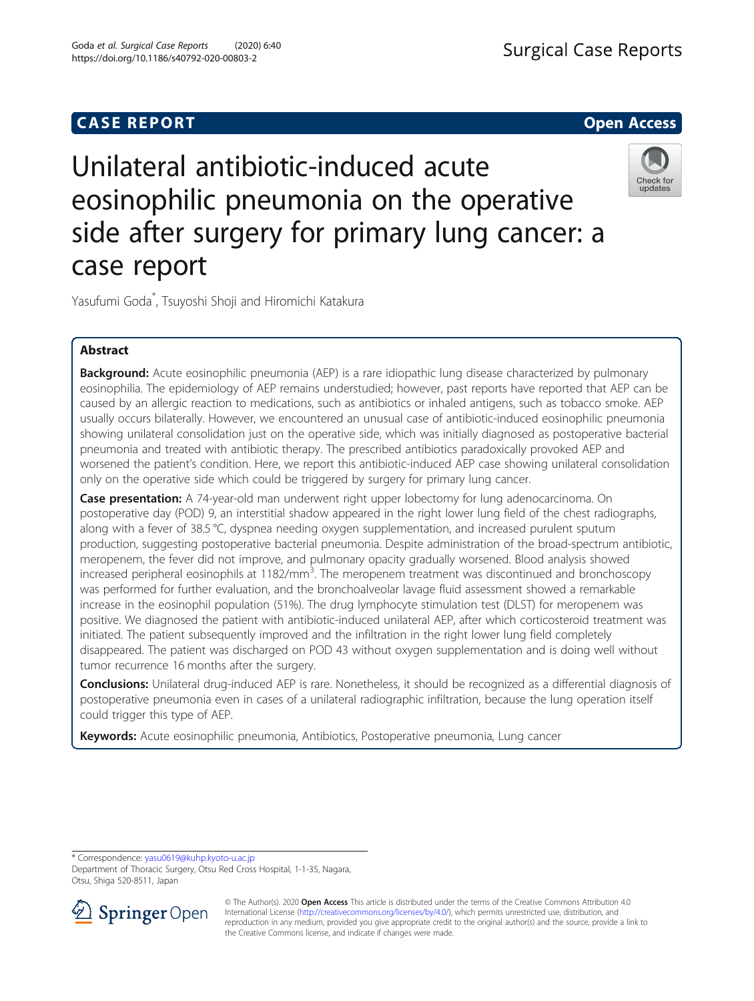# **CASE REPORT And SERVICE SERVICE SERVICE SERVICE SERVICE SERVICE SERVICE SERVICE SERVICE SERVICE SERVICE SERVICE**

**Surgical Case Reports** 

# Unilateral antibiotic-induced acute eosinophilic pneumonia on the operative side after surgery for primary lung cancer: a case report



Yasufumi Goda\* , Tsuyoshi Shoji and Hiromichi Katakura

# Abstract

Background: Acute eosinophilic pneumonia (AEP) is a rare idiopathic lung disease characterized by pulmonary eosinophilia. The epidemiology of AEP remains understudied; however, past reports have reported that AEP can be caused by an allergic reaction to medications, such as antibiotics or inhaled antigens, such as tobacco smoke. AEP usually occurs bilaterally. However, we encountered an unusual case of antibiotic-induced eosinophilic pneumonia showing unilateral consolidation just on the operative side, which was initially diagnosed as postoperative bacterial pneumonia and treated with antibiotic therapy. The prescribed antibiotics paradoxically provoked AEP and worsened the patient's condition. Here, we report this antibiotic-induced AEP case showing unilateral consolidation only on the operative side which could be triggered by surgery for primary lung cancer.

**Case presentation:** A 74-year-old man underwent right upper lobectomy for lung adenocarcinoma. On postoperative day (POD) 9, an interstitial shadow appeared in the right lower lung field of the chest radiographs, along with a fever of 38.5 °C, dyspnea needing oxygen supplementation, and increased purulent sputum production, suggesting postoperative bacterial pneumonia. Despite administration of the broad-spectrum antibiotic, meropenem, the fever did not improve, and pulmonary opacity gradually worsened. Blood analysis showed increased peripheral eosinophils at 1182/mm<sup>3</sup>. The meropenem treatment was discontinued and bronchoscopy was performed for further evaluation, and the bronchoalveolar lavage fluid assessment showed a remarkable increase in the eosinophil population (51%). The drug lymphocyte stimulation test (DLST) for meropenem was positive. We diagnosed the patient with antibiotic-induced unilateral AEP, after which corticosteroid treatment was initiated. The patient subsequently improved and the infiltration in the right lower lung field completely disappeared. The patient was discharged on POD 43 without oxygen supplementation and is doing well without tumor recurrence 16 months after the surgery.

Conclusions: Unilateral drug-induced AEP is rare. Nonetheless, it should be recognized as a differential diagnosis of postoperative pneumonia even in cases of a unilateral radiographic infiltration, because the lung operation itself could trigger this type of AEP.

Keywords: Acute eosinophilic pneumonia, Antibiotics, Postoperative pneumonia, Lung cancer

\* Correspondence: [yasu0619@kuhp.kyoto-u.ac.jp](mailto:yasu0619@kuhp.kyoto-u.ac.jp)

Department of Thoracic Surgery, Otsu Red Cross Hospital, 1-1-35, Nagara, Otsu, Shiga 520-8511, Japan



<sup>©</sup> The Author(s). 2020 Open Access This article is distributed under the terms of the Creative Commons Attribution 4.0 International License ([http://creativecommons.org/licenses/by/4.0/\)](http://creativecommons.org/licenses/by/4.0/), which permits unrestricted use, distribution, and reproduction in any medium, provided you give appropriate credit to the original author(s) and the source, provide a link to the Creative Commons license, and indicate if changes were made.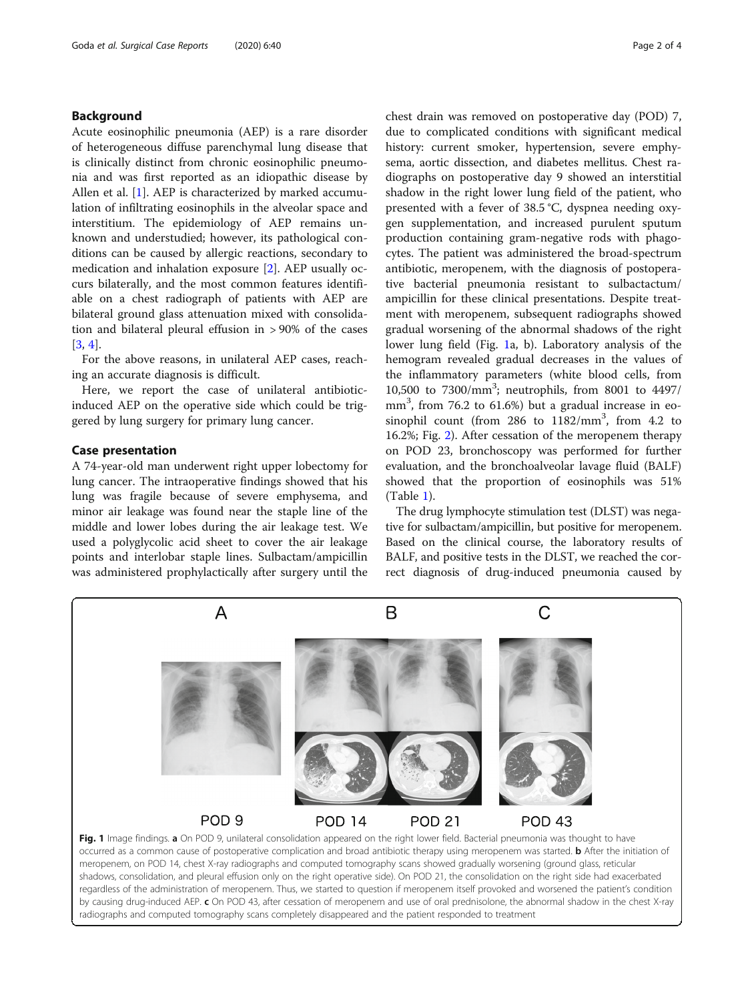# <span id="page-1-0"></span>Background

Acute eosinophilic pneumonia (AEP) is a rare disorder of heterogeneous diffuse parenchymal lung disease that is clinically distinct from chronic eosinophilic pneumonia and was first reported as an idiopathic disease by Allen et al. [[1](#page-3-0)]. AEP is characterized by marked accumulation of infiltrating eosinophils in the alveolar space and interstitium. The epidemiology of AEP remains unknown and understudied; however, its pathological conditions can be caused by allergic reactions, secondary to medication and inhalation exposure [\[2\]](#page-3-0). AEP usually occurs bilaterally, and the most common features identifiable on a chest radiograph of patients with AEP are bilateral ground glass attenuation mixed with consolidation and bilateral pleural effusion in > 90% of the cases [[3,](#page-3-0) [4\]](#page-3-0).

For the above reasons, in unilateral AEP cases, reaching an accurate diagnosis is difficult.

Here, we report the case of unilateral antibioticinduced AEP on the operative side which could be triggered by lung surgery for primary lung cancer.

# Case presentation

A 74-year-old man underwent right upper lobectomy for lung cancer. The intraoperative findings showed that his lung was fragile because of severe emphysema, and minor air leakage was found near the staple line of the middle and lower lobes during the air leakage test. We used a polyglycolic acid sheet to cover the air leakage points and interlobar staple lines. Sulbactam/ampicillin was administered prophylactically after surgery until the

chest drain was removed on postoperative day (POD) 7, due to complicated conditions with significant medical history: current smoker, hypertension, severe emphysema, aortic dissection, and diabetes mellitus. Chest radiographs on postoperative day 9 showed an interstitial shadow in the right lower lung field of the patient, who presented with a fever of 38.5 °C, dyspnea needing oxygen supplementation, and increased purulent sputum production containing gram-negative rods with phagocytes. The patient was administered the broad-spectrum antibiotic, meropenem, with the diagnosis of postoperative bacterial pneumonia resistant to sulbactactum/ ampicillin for these clinical presentations. Despite treatment with meropenem, subsequent radiographs showed gradual worsening of the abnormal shadows of the right lower lung field (Fig. 1a, b). Laboratory analysis of the hemogram revealed gradual decreases in the values of the inflammatory parameters (white blood cells, from 10,500 to 7300/mm<sup>3</sup> ; neutrophils, from 8001 to 4497/ mm<sup>3</sup>, from 76.2 to 61.6%) but a gradual increase in eosinophil count (from 286 to 1182/mm<sup>3</sup>, from 4.2 to 16.2%; Fig. [2](#page-2-0)). After cessation of the meropenem therapy on POD 23, bronchoscopy was performed for further evaluation, and the bronchoalveolar lavage fluid (BALF) showed that the proportion of eosinophils was 51% (Table [1\)](#page-2-0).

The drug lymphocyte stimulation test (DLST) was negative for sulbactam/ampicillin, but positive for meropenem. Based on the clinical course, the laboratory results of BALF, and positive tests in the DLST, we reached the correct diagnosis of drug-induced pneumonia caused by



meropenem, on POD 14, chest X-ray radiographs and computed tomography scans showed gradually worsening (ground glass, reticular shadows, consolidation, and pleural effusion only on the right operative side). On POD 21, the consolidation on the right side had exacerbated regardless of the administration of meropenem. Thus, we started to question if meropenem itself provoked and worsened the patient's condition by causing drug-induced AEP. c On POD 43, after cessation of meropenem and use of oral prednisolone, the abnormal shadow in the chest X-ray radiographs and computed tomography scans completely disappeared and the patient responded to treatment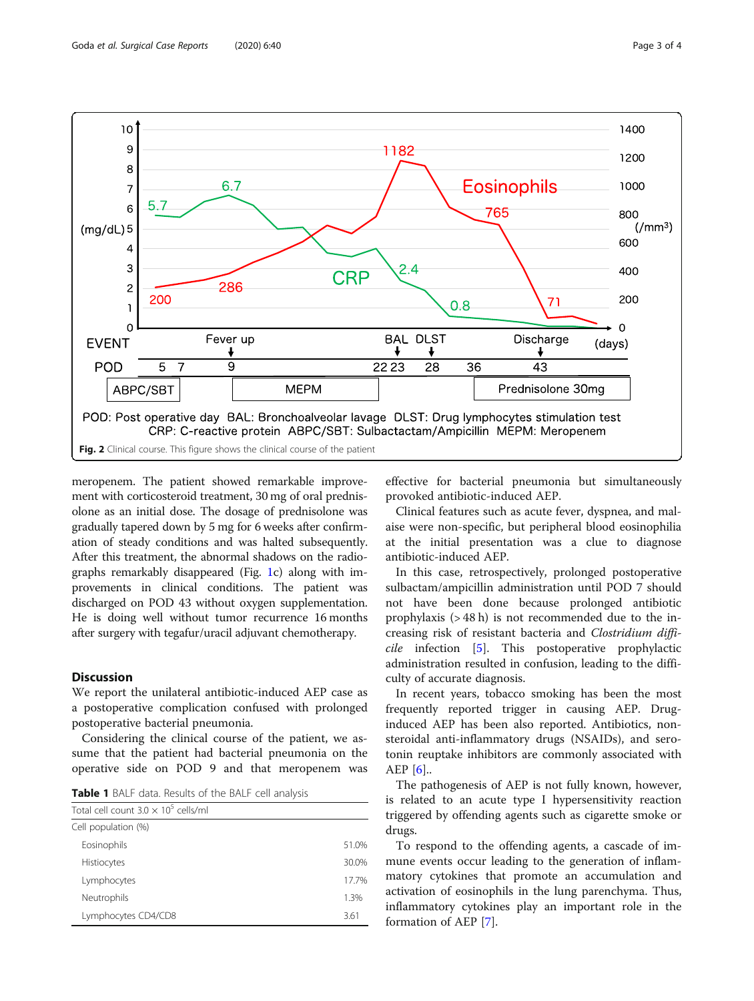<span id="page-2-0"></span>

meropenem. The patient showed remarkable improvement with corticosteroid treatment, 30 mg of oral prednisolone as an initial dose. The dosage of prednisolone was gradually tapered down by 5 mg for 6 weeks after confirmation of steady conditions and was halted subsequently. After this treatment, the abnormal shadows on the radiographs remarkably disappeared (Fig. [1c](#page-1-0)) along with improvements in clinical conditions. The patient was discharged on POD 43 without oxygen supplementation. He is doing well without tumor recurrence 16 months after surgery with tegafur/uracil adjuvant chemotherapy.

# **Discussion**

We report the unilateral antibiotic-induced AEP case as a postoperative complication confused with prolonged postoperative bacterial pneumonia.

Considering the clinical course of the patient, we assume that the patient had bacterial pneumonia on the operative side on POD 9 and that meropenem was

Table 1 BALF data. Results of the BALF cell analysis

| Total cell count $3.0 \times 10^5$ cells/ml |       |
|---------------------------------------------|-------|
| Cell population (%)                         |       |
| Eosinophils                                 | 51.0% |
| Histiocytes                                 | 30.0% |
| Lymphocytes                                 | 17.7% |
| Neutrophils                                 | 1.3%  |
| Lymphocytes CD4/CD8                         | 3.61  |

effective for bacterial pneumonia but simultaneously provoked antibiotic-induced AEP.

Clinical features such as acute fever, dyspnea, and malaise were non-specific, but peripheral blood eosinophilia at the initial presentation was a clue to diagnose antibiotic-induced AEP.

In this case, retrospectively, prolonged postoperative sulbactam/ampicillin administration until POD 7 should not have been done because prolonged antibiotic prophylaxis (> 48 h) is not recommended due to the increasing risk of resistant bacteria and Clostridium difficile infection [\[5](#page-3-0)]. This postoperative prophylactic administration resulted in confusion, leading to the difficulty of accurate diagnosis.

In recent years, tobacco smoking has been the most frequently reported trigger in causing AEP. Druginduced AEP has been also reported. Antibiotics, nonsteroidal anti-inflammatory drugs (NSAIDs), and serotonin reuptake inhibitors are commonly associated with AEP [[6\]](#page-3-0)..

The pathogenesis of AEP is not fully known, however, is related to an acute type I hypersensitivity reaction triggered by offending agents such as cigarette smoke or drugs.

To respond to the offending agents, a cascade of immune events occur leading to the generation of inflammatory cytokines that promote an accumulation and activation of eosinophils in the lung parenchyma. Thus, inflammatory cytokines play an important role in the formation of AEP [\[7](#page-3-0)].